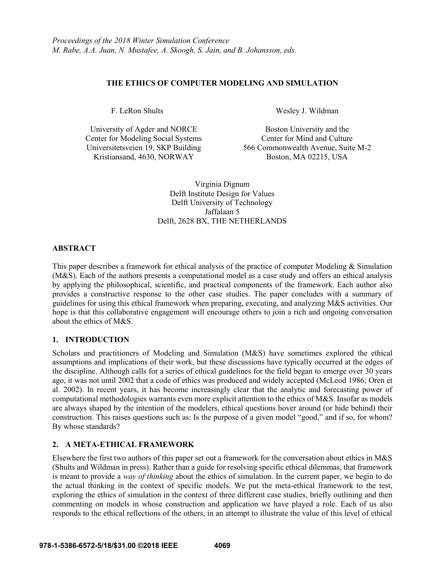# **THE ETHICS OF COMPUTER MODELING AND SIMULATION**

F. LeRon Shults

University of Agder and NORCE Center for Modeling Social Systems Universitetsveien 19, SKP Building Kristiansand, 4630, NORWAY

Wesley J. Wildman

Boston University and the Center for Mind and Culture 566 Commonwealth Avenue, Suite M-2 Boston, MA 02215, USA

Virginia Dignum Delft Institute Design for Values Delft University of Technology Jaffalaan 5 Delft, 2628 BX, THE NETHERLANDS

## **ABSTRACT**

This paper describes a framework for ethical analysis of the practice of computer Modeling & Simulation (M&S). Each of the authors presents a computational model as a case study and offers an ethical analysis by applying the philosophical, scientific, and practical components of the framework. Each author also provides a constructive response to the other case studies. The paper concludes with a summary of guidelines for using this ethical framework when preparing, executing, and analyzing M&S activities. Our hope is that this collaborative engagement will encourage others to join a rich and ongoing conversation about the ethics of M&S.

## **1. INTRODUCTION**

Scholars and practitioners of Modeling and Simulation (M&S) have sometimes explored the ethical assumptions and implications of their work, but these discussions have typically occurred at the edges of the discipline. Although calls for a series of ethical guidelines for the field began to emerge over 30 years ago, it was not until 2002 that a code of ethics was produced and widely accepted (McLeod 1986; Oren et al. 2002). In recent years, it has become increasingly clear that the analytic and forecasting power of computational methodologies warrants even more explicit attention to the ethics of M&S. Insofar as models are always shaped by the intention of the modelers, ethical questions hover around (or hide behind) their construction. This raises questions such as: Is the purpose of a given model "good," and if so, for whom? By whose standards?

# **2. A META-ETHICAL FRAMEWORK**

Elsewhere the first two authors of this paper set out a framework for the conversation about ethics in M&S (Shults and Wildman in press). Rather than a guide for resolving specific ethical dilemmas, that framework is meant to provide a *way of thinking* about the ethics of simulation. In the current paper, we begin to do the actual thinking in the context of specific models. We put the meta-ethical framework to the test, exploring the ethics of simulation in the context of three different case studies, briefly outlining and then commenting on models in whose construction and application we have played a role. Each of us also responds to the ethical reflections of the others, in an attempt to illustrate the value of this level of ethical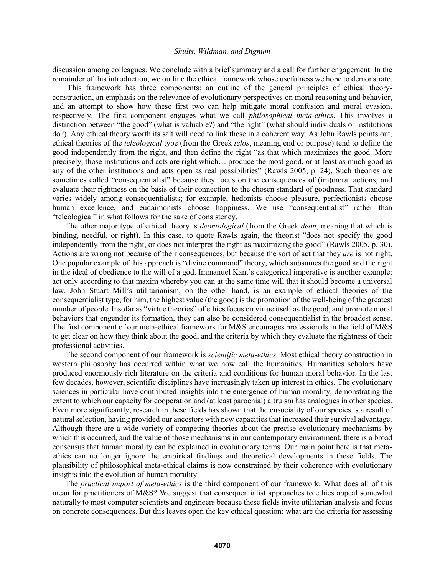discussion among colleagues. We conclude with a brief summary and a call for further engagement. In the remainder of this introduction, we outline the ethical framework whose usefulness we hope to demonstrate.

This framework has three components: an outline of the general principles of ethical theoryconstruction, an emphasis on the relevance of evolutionary perspectives on moral reasoning and behavior, and an attempt to show how these first two can help mitigate moral confusion and moral evasion, respectively. The first component engages what we call *philosophical meta-ethics*. This involves a distinction between "the good" (what is valuable?) and "the right" (what should individuals or institutions do?). Any ethical theory worth its salt will need to link these in a coherent way. As John Rawls points out, ethical theories of the *teleological* type (from the Greek *telos*, meaning end or purpose) tend to define the good independently from the right, and then define the right "as that which maximizes the good. More precisely, those institutions and acts are right which… produce the most good, or at least as much good as any of the other institutions and acts open as real possibilities" (Rawls 2005, p. 24). Such theories are sometimes called "consequentialist" because they focus on the consequences of (im)moral actions, and evaluate their rightness on the basis of their connection to the chosen standard of goodness. That standard varies widely among consequentialists; for example, hedonists choose pleasure, perfectionists choose human excellence, and eudaimonists choose happiness. We use "consequentialist" rather than "teleological" in what follows for the sake of consistency.

The other major type of ethical theory is *deontological* (from the Greek *deon*, meaning that which is binding, needful, or right). In this case, to quote Rawls again, the theorist "does not specify the good independently from the right, or does not interpret the right as maximizing the good" (Rawls 2005, p. 30). Actions are wrong not because of their consequences, but because the sort of act that they *are* is not right. One popular example of this approach is "divine command" theory, which subsumes the good and the right in the ideal of obedience to the will of a god. Immanuel Kant's categorical imperative is another example: act only according to that maxim whereby you can at the same time will that it should become a universal law. John Stuart Mill's utilitarianism, on the other hand, is an example of ethical theories of the consequentialist type; for him, the highest value (the good) is the promotion of the well-being of the greatest number of people. Insofar as "virtue theories" of ethics focus on virtue itself as the good, and promote moral behaviors that engender its formation, they can also be considered consequentialist in the broadest sense. The first component of our meta-ethical framework for M&S encourages professionals in the field of M&S to get clear on how they think about the good, and the criteria by which they evaluate the rightness of their professional activities.

The second component of our framework is *scientific meta-ethics*. Most ethical theory construction in western philosophy has occurred within what we now call the humanities. Humanities scholars have produced enormously rich literature on the criteria and conditions for human moral behavior. In the last few decades, however, scientific disciplines have increasingly taken up interest in ethics. The evolutionary sciences in particular have contributed insights into the emergence of human morality, demonstrating the extent to which our capacity for cooperation and (at least parochial) altruism has analogues in other species. Even more significantly, research in these fields has shown that the eusociality of our species is a result of natural selection, having provided our ancestors with new capacities that increased their survival advantage. Although there are a wide variety of competing theories about the precise evolutionary mechanisms by which this occurred, and the value of those mechanisms in our contemporary environment, there is a broad consensus that human morality can be explained in evolutionary terms. Our main point here is that metaethics can no longer ignore the empirical findings and theoretical developments in these fields. The plausibility of philosophical meta-ethical claims is now constrained by their coherence with evolutionary insights into the evolution of human morality.

The *practical import of meta-ethics* is the third component of our framework. What does all of this mean for practitioners of M&S? We suggest that consequentialist approaches to ethics appeal somewhat naturally to most computer scientists and engineers because these fields invite utilitarian analysis and focus on concrete consequences. But this leaves open the key ethical question: what are the criteria for assessing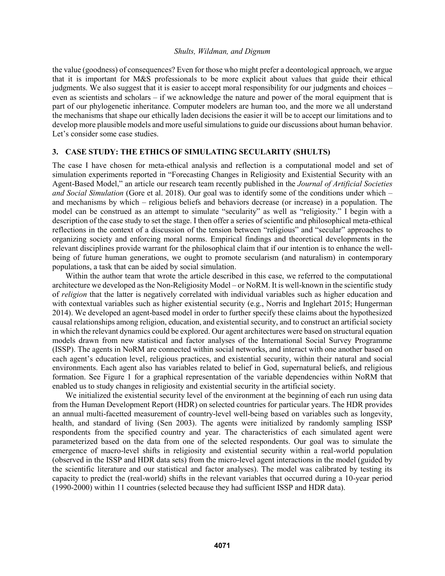the value (goodness) of consequences? Even for those who might prefer a deontological approach, we argue that it is important for M&S professionals to be more explicit about values that guide their ethical judgments. We also suggest that it is easier to accept moral responsibility for our judgments and choices – even as scientists and scholars – if we acknowledge the nature and power of the moral equipment that is part of our phylogenetic inheritance. Computer modelers are human too, and the more we all understand the mechanisms that shape our ethically laden decisions the easier it will be to accept our limitations and to develop more plausible models and more useful simulations to guide our discussions about human behavior. Let's consider some case studies.

## **3. CASE STUDY: THE ETHICS OF SIMULATING SECULARITY (SHULTS)**

The case I have chosen for meta-ethical analysis and reflection is a computational model and set of simulation experiments reported in "Forecasting Changes in Religiosity and Existential Security with an Agent-Based Model," an article our research team recently published in the *Journal of Artificial Societies and Social Simulation* (Gore et al. 2018). Our goal was to identify some of the conditions under which – and mechanisms by which – religious beliefs and behaviors decrease (or increase) in a population. The model can be construed as an attempt to simulate "secularity" as well as "religiosity." I begin with a description of the case study to set the stage. I then offer a series of scientific and philosophical meta-ethical reflections in the context of a discussion of the tension between "religious" and "secular" approaches to organizing society and enforcing moral norms. Empirical findings and theoretical developments in the relevant disciplines provide warrant for the philosophical claim that if our intention is to enhance the wellbeing of future human generations, we ought to promote secularism (and naturalism) in contemporary populations, a task that can be aided by social simulation.

Within the author team that wrote the article described in this case, we referred to the computational architecture we developed as the Non-Religiosity Model – or NoRM. It is well-known in the scientific study of *religion* that the latter is negatively correlated with individual variables such as higher education and with contextual variables such as higher existential security (e.g., Norris and Inglehart 2015; Hungerman 2014). We developed an agent-based model in order to further specify these claims about the hypothesized causal relationships among religion, education, and existential security, and to construct an artificial society in which the relevant dynamics could be explored. Our agent architectures were based on structural equation models drawn from new statistical and factor analyses of the International Social Survey Programme (ISSP). The agents in NoRM are connected within social networks, and interact with one another based on each agent's education level, religious practices, and existential security, within their natural and social environments. Each agent also has variables related to belief in God, supernatural beliefs, and religious formation. See Figure 1 for a graphical representation of the variable dependencies within NoRM that enabled us to study changes in religiosity and existential security in the artificial society.

We initialized the existential security level of the environment at the beginning of each run using data from the Human Development Report (HDR) on selected countries for particular years. The HDR provides an annual multi-facetted measurement of country-level well-being based on variables such as longevity, health, and standard of living (Sen 2003). The agents were initialized by randomly sampling ISSP respondents from the specified country and year. The characteristics of each simulated agent were parameterized based on the data from one of the selected respondents. Our goal was to simulate the emergence of macro-level shifts in religiosity and existential security within a real-world population (observed in the ISSP and HDR data sets) from the micro-level agent interactions in the model (guided by the scientific literature and our statistical and factor analyses). The model was calibrated by testing its capacity to predict the (real-world) shifts in the relevant variables that occurred during a 10-year period (1990-2000) within 11 countries (selected because they had sufficient ISSP and HDR data).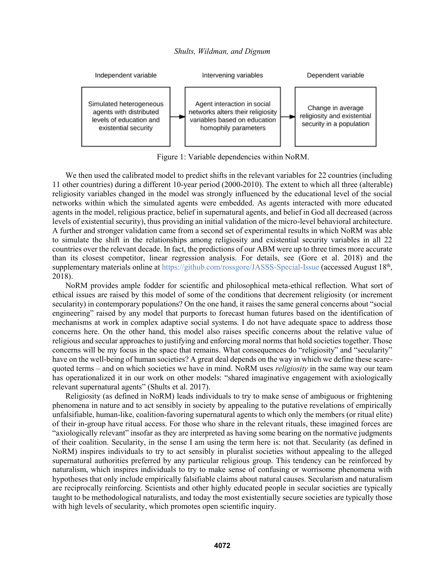

Figure 1: Variable dependencies within NoRM.

We then used the calibrated model to predict shifts in the relevant variables for 22 countries (including 11 other countries) during a different 10-year period (2000-2010). The extent to which all three (alterable) religiosity variables changed in the model was strongly influenced by the educational level of the social networks within which the simulated agents were embedded. As agents interacted with more educated agents in the model, religious practice, belief in supernatural agents, and belief in God all decreased (across levels of existential security), thus providing an initial validation of the micro-level behavioral architecture. A further and stronger validation came from a second set of experimental results in which NoRM was able to simulate the shift in the relationships among religiosity and existential security variables in all 22 countries over the relevant decade. In fact, the predictions of our ABM were up to three times more accurate than its closest competitor, linear regression analysis. For details, see (Gore et al. 2018) and the supplementary materials online at https://github.com/rossgore/JASSS-Special-Issue (accessed August 18<sup>th</sup>, 2018).

NoRM provides ample fodder for scientific and philosophical meta-ethical reflection. What sort of ethical issues are raised by this model of some of the conditions that decrement religiosity (or increment secularity) in contemporary populations? On the one hand, it raises the same general concerns about "social engineering" raised by any model that purports to forecast human futures based on the identification of mechanisms at work in complex adaptive social systems. I do not have adequate space to address those concerns here. On the other hand, this model also raises specific concerns about the relative value of religious and secular approaches to justifying and enforcing moral norms that hold societies together. Those concerns will be my focus in the space that remains. What consequences do "religiosity" and "secularity" have on the well-being of human societies? A great deal depends on the way in which we define these scarequoted terms – and on which societies we have in mind. NoRM uses *religiosity* in the same way our team has operationalized it in our work on other models: "shared imaginative engagement with axiologically relevant supernatural agents" (Shults et al. 2017).

Religiosity (as defined in NoRM) leads individuals to try to make sense of ambiguous or frightening phenomena in nature and to act sensibly in society by appealing to the putative revelations of empirically unfalsifiable, human-like, coalition-favoring supernatural agents to which only the members (or ritual elite) of their in-group have ritual access. For those who share in the relevant rituals, these imagined forces are "axiologically relevant" insofar as they are interpreted as having some bearing on the normative judgments of their coalition. Secularity, in the sense I am using the term here is: not that. Secularity (as defined in NoRM) inspires individuals to try to act sensibly in pluralist societies without appealing to the alleged supernatural authorities preferred by any particular religious group. This tendency can be reinforced by naturalism, which inspires individuals to try to make sense of confusing or worrisome phenomena with hypotheses that only include empirically falsifiable claims about natural causes. Secularism and naturalism are reciprocally reinforcing. Scientists and other highly educated people in secular societies are typically taught to be methodological naturalists, and today the most existentially secure societies are typically those with high levels of secularity, which promotes open scientific inquiry.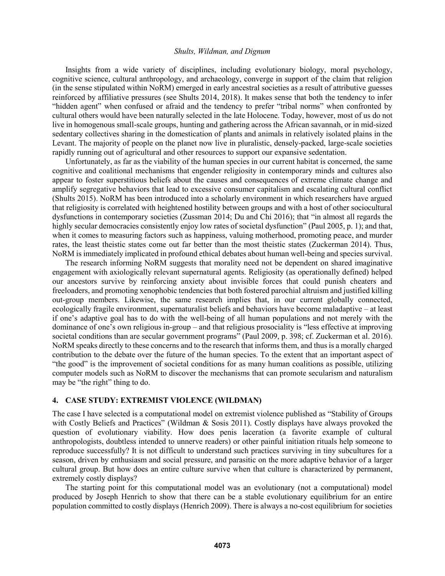Insights from a wide variety of disciplines, including evolutionary biology, moral psychology, cognitive science, cultural anthropology, and archaeology, converge in support of the claim that religion (in the sense stipulated within NoRM) emerged in early ancestral societies as a result of attributive guesses reinforced by affiliative pressures (see Shults 2014, 2018). It makes sense that both the tendency to infer "hidden agent" when confused or afraid and the tendency to prefer "tribal norms" when confronted by cultural others would have been naturally selected in the late Holocene. Today, however, most of us do not live in homogenous small-scale groups, hunting and gathering across the African savannah, or in mid-sized sedentary collectives sharing in the domestication of plants and animals in relatively isolated plains in the Levant. The majority of people on the planet now live in pluralistic, densely-packed, large-scale societies rapidly running out of agricultural and other resources to support our expansive sedentation.

Unfortunately, as far as the viability of the human species in our current habitat is concerned, the same cognitive and coalitional mechanisms that engender religiosity in contemporary minds and cultures also appear to foster superstitious beliefs about the causes and consequences of extreme climate change and amplify segregative behaviors that lead to excessive consumer capitalism and escalating cultural conflict (Shults 2015). NoRM has been introduced into a scholarly environment in which researchers have argued that religiosity is correlated with heightened hostility between groups and with a host of other sociocultural dysfunctions in contemporary societies (Zussman 2014; Du and Chi 2016); that "in almost all regards the highly secular democracies consistently enjoy low rates of societal dysfunction" (Paul 2005, p. 1); and that, when it comes to measuring factors such as happiness, valuing motherhood, promoting peace, and murder rates, the least theistic states come out far better than the most theistic states (Zuckerman 2014). Thus, NoRM is immediately implicated in profound ethical debates about human well-being and species survival.

The research informing NoRM suggests that morality need not be dependent on shared imaginative engagement with axiologically relevant supernatural agents. Religiosity (as operationally defined) helped our ancestors survive by reinforcing anxiety about invisible forces that could punish cheaters and freeloaders, and promoting xenophobic tendencies that both fostered parochial altruism and justified killing out-group members. Likewise, the same research implies that, in our current globally connected, ecologically fragile environment, supernaturalist beliefs and behaviors have become maladaptive – at least if one's adaptive goal has to do with the well-being of all human populations and not merely with the dominance of one's own religious in-group – and that religious prosociality is "less effective at improving societal conditions than are secular government programs" (Paul 2009, p. 398; cf. Zuckerman et al. 2016). NoRM speaks directly to these concerns and to the research that informs them, and thus is a morally charged contribution to the debate over the future of the human species. To the extent that an important aspect of "the good" is the improvement of societal conditions for as many human coalitions as possible, utilizing computer models such as NoRM to discover the mechanisms that can promote secularism and naturalism may be "the right" thing to do.

### **4. CASE STUDY: EXTREMIST VIOLENCE (WILDMAN)**

The case I have selected is a computational model on extremist violence published as "Stability of Groups with Costly Beliefs and Practices" (Wildman & Sosis 2011). Costly displays have always provoked the question of evolutionary viability. How does penis laceration (a favorite example of cultural anthropologists, doubtless intended to unnerve readers) or other painful initiation rituals help someone to reproduce successfully? It is not difficult to understand such practices surviving in tiny subcultures for a season, driven by enthusiasm and social pressure, and parasitic on the more adaptive behavior of a larger cultural group. But how does an entire culture survive when that culture is characterized by permanent, extremely costly displays?

The starting point for this computational model was an evolutionary (not a computational) model produced by Joseph Henrich to show that there can be a stable evolutionary equilibrium for an entire population committed to costly displays (Henrich 2009). There is always a no-cost equilibrium for societies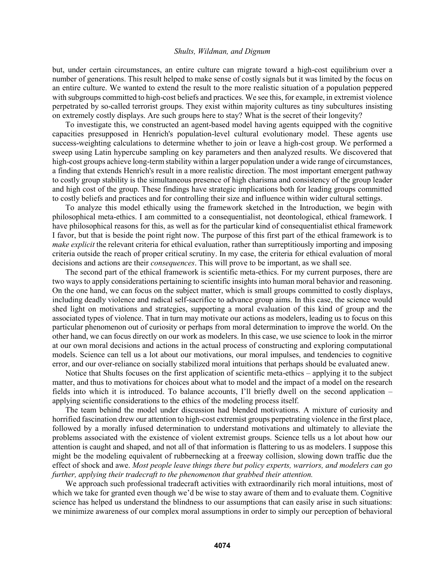but, under certain circumstances, an entire culture can migrate toward a high-cost equilibrium over a number of generations. This result helped to make sense of costly signals but it was limited by the focus on an entire culture. We wanted to extend the result to the more realistic situation of a population peppered with subgroups committed to high-cost beliefs and practices. We see this, for example, in extremist violence perpetrated by so-called terrorist groups. They exist within majority cultures as tiny subcultures insisting on extremely costly displays. Are such groups here to stay? What is the secret of their longevity?

To investigate this, we constructed an agent-based model having agents equipped with the cognitive capacities presupposed in Henrich's population-level cultural evolutionary model. These agents use success-weighting calculations to determine whether to join or leave a high-cost group. We performed a sweep using Latin hypercube sampling on key parameters and then analyzed results. We discovered that high-cost groups achieve long-term stability within a larger population under a wide range of circumstances, a finding that extends Henrich's result in a more realistic direction. The most important emergent pathway to costly group stability is the simultaneous presence of high charisma and consistency of the group leader and high cost of the group. These findings have strategic implications both for leading groups committed to costly beliefs and practices and for controlling their size and influence within wider cultural settings.

To analyze this model ethically using the framework sketched in the Introduction, we begin with philosophical meta-ethics. I am committed to a consequentialist, not deontological, ethical framework. I have philosophical reasons for this, as well as for the particular kind of consequentialist ethical framework I favor, but that is beside the point right now. The purpose of this first part of the ethical framework is to *make explicit* the relevant criteria for ethical evaluation, rather than surreptitiously importing and imposing criteria outside the reach of proper critical scrutiny. In my case, the criteria for ethical evaluation of moral decisions and actions are their *consequences*. This will prove to be important, as we shall see.

The second part of the ethical framework is scientific meta-ethics. For my current purposes, there are two ways to apply considerations pertaining to scientific insights into human moral behavior and reasoning. On the one hand, we can focus on the subject matter, which is small groups committed to costly displays, including deadly violence and radical self-sacrifice to advance group aims. In this case, the science would shed light on motivations and strategies, supporting a moral evaluation of this kind of group and the associated types of violence. That in turn may motivate our actions as modelers, leading us to focus on this particular phenomenon out of curiosity or perhaps from moral determination to improve the world. On the other hand, we can focus directly on our work as modelers. In this case, we use science to look in the mirror at our own moral decisions and actions in the actual process of constructing and exploring computational models. Science can tell us a lot about our motivations, our moral impulses, and tendencies to cognitive error, and our over-reliance on socially stabilized moral intuitions that perhaps should be evaluated anew.

Notice that Shults focuses on the first application of scientific meta-ethics – applying it to the subject matter, and thus to motivations for choices about what to model and the impact of a model on the research fields into which it is introduced. To balance accounts, I'll briefly dwell on the second application – applying scientific considerations to the ethics of the modeling process itself.

The team behind the model under discussion had blended motivations. A mixture of curiosity and horrified fascination drew our attention to high-cost extremist groups perpetrating violence in the first place, followed by a morally infused determination to understand motivations and ultimately to alleviate the problems associated with the existence of violent extremist groups. Science tells us a lot about how our attention is caught and shaped, and not all of that information is flattering to us as modelers. I suppose this might be the modeling equivalent of rubbernecking at a freeway collision, slowing down traffic due the effect of shock and awe. *Most people leave things there but policy experts, warriors, and modelers can go further, applying their tradecraft to the phenomenon that grabbed their attention.*

We approach such professional tradecraft activities with extraordinarily rich moral intuitions, most of which we take for granted even though we'd be wise to stay aware of them and to evaluate them. Cognitive science has helped us understand the blindness to our assumptions that can easily arise in such situations: we minimize awareness of our complex moral assumptions in order to simply our perception of behavioral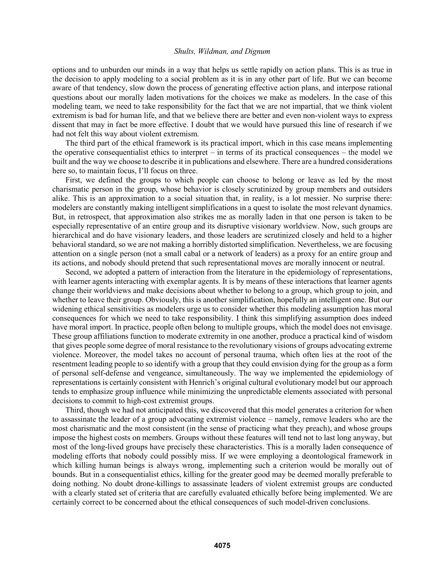options and to unburden our minds in a way that helps us settle rapidly on action plans. This is as true in the decision to apply modeling to a social problem as it is in any other part of life. But we can become aware of that tendency, slow down the process of generating effective action plans, and interpose rational questions about our morally laden motivations for the choices we make as modelers. In the case of this modeling team, we need to take responsibility for the fact that we are not impartial, that we think violent extremism is bad for human life, and that we believe there are better and even non-violent ways to express dissent that may in fact be more effective. I doubt that we would have pursued this line of research if we had not felt this way about violent extremism.

The third part of the ethical framework is its practical import, which in this case means implementing the operative consequentialist ethics to interpret – in terms of its practical consequences – the model we built and the way we choose to describe it in publications and elsewhere. There are a hundred considerations here so, to maintain focus, I'll focus on three.

First, we defined the groups to which people can choose to belong or leave as led by the most charismatic person in the group, whose behavior is closely scrutinized by group members and outsiders alike. This is an approximation to a social situation that, in reality, is a lot messier. No surprise there: modelers are constantly making intelligent simplifications in a quest to isolate the most relevant dynamics. But, in retrospect, that approximation also strikes me as morally laden in that one person is taken to be especially representative of an entire group and its disruptive visionary worldview. Now, such groups are hierarchical and do have visionary leaders, and those leaders are scrutinized closely and held to a higher behavioral standard, so we are not making a horribly distorted simplification. Nevertheless, we are focusing attention on a single person (not a small cabal or a network of leaders) as a proxy for an entire group and its actions, and nobody should pretend that such representational moves are morally innocent or neutral.

Second, we adopted a pattern of interaction from the literature in the epidemiology of representations, with learner agents interacting with exemplar agents. It is by means of these interactions that learner agents change their worldviews and make decisions about whether to belong to a group, which group to join, and whether to leave their group. Obviously, this is another simplification, hopefully an intelligent one. But our widening ethical sensitivities as modelers urge us to consider whether this modeling assumption has moral consequences for which we need to take responsibility. I think this simplifying assumption does indeed have moral import. In practice, people often belong to multiple groups, which the model does not envisage. These group affiliations function to moderate extremity in one another, produce a practical kind of wisdom that gives people some degree of moral resistance to the revolutionary visions of groups advocating extreme violence. Moreover, the model takes no account of personal trauma, which often lies at the root of the resentment leading people to so identify with a group that they could envision dying for the group as a form of personal self-defense and vengeance, simultaneously. The way we implemented the epidemiology of representations is certainly consistent with Henrich's original cultural evolutionary model but our approach tends to emphasize group influence while minimizing the unpredictable elements associated with personal decisions to commit to high-cost extremist groups.

Third, though we had not anticipated this, we discovered that this model generates a criterion for when to assassinate the leader of a group advocating extremist violence – namely, remove leaders who are the most charismatic and the most consistent (in the sense of practicing what they preach), and whose groups impose the highest costs on members. Groups without these features will tend not to last long anyway, but most of the long-lived groups have precisely these characteristics. This is a morally laden consequence of modeling efforts that nobody could possibly miss. If we were employing a deontological framework in which killing human beings is always wrong, implementing such a criterion would be morally out of bounds. But in a consequentialist ethics, killing for the greater good may be deemed morally preferable to doing nothing. No doubt drone-killings to assassinate leaders of violent extremist groups are conducted with a clearly stated set of criteria that are carefully evaluated ethically before being implemented. We are certainly correct to be concerned about the ethical consequences of such model-driven conclusions.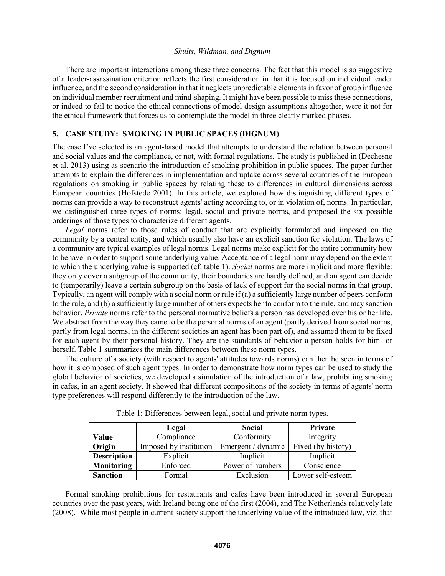There are important interactions among these three concerns. The fact that this model is so suggestive of a leader-assassination criterion reflects the first consideration in that it is focused on individual leader influence, and the second consideration in that it neglects unpredictable elements in favor of group influence on individual member recruitment and mind-shaping. It might have been possible to miss these connections, or indeed to fail to notice the ethical connections of model design assumptions altogether, were it not for the ethical framework that forces us to contemplate the model in three clearly marked phases.

## **5. CASE STUDY: SMOKING IN PUBLIC SPACES (DIGNUM)**

The case I've selected is an agent-based model that attempts to understand the relation between personal and social values and the compliance, or not, with formal regulations. The study is published in (Dechesne et al. 2013) using as scenario the introduction of smoking prohibition in public spaces. The paper further attempts to explain the differences in implementation and uptake across several countries of the European regulations on smoking in public spaces by relating these to differences in cultural dimensions across European countries (Hofstede 2001). In this article, we explored how distinguishing different types of norms can provide a way to reconstruct agents' acting according to, or in violation of, norms. In particular, we distinguished three types of norms: legal, social and private norms, and proposed the six possible orderings of those types to characterize different agents.

*Legal* norms refer to those rules of conduct that are explicitly formulated and imposed on the community by a central entity, and which usually also have an explicit sanction for violation. The laws of a community are typical examples of legal norms. Legal norms make explicit for the entire community how to behave in order to support some underlying value. Acceptance of a legal norm may depend on the extent to which the underlying value is supported (cf. table 1). *Social* norms are more implicit and more flexible: they only cover a subgroup of the community, their boundaries are hardly defined, and an agent can decide to (temporarily) leave a certain subgroup on the basis of lack of support for the social norms in that group. Typically, an agent will comply with a social norm or rule if (a) a sufficiently large number of peers conform to the rule, and (b) a sufficiently large number of others expects her to conform to the rule, and may sanction behavior. *Private* norms refer to the personal normative beliefs a person has developed over his or her life. We abstract from the way they came to be the personal norms of an agent (partly derived from social norms, partly from legal norms, in the different societies an agent has been part of), and assumed them to be fixed for each agent by their personal history. They are the standards of behavior a person holds for him- or herself. Table 1 summarizes the main differences between these norm types.

The culture of a society (with respect to agents' attitudes towards norms) can then be seen in terms of how it is composed of such agent types. In order to demonstrate how norm types can be used to study the global behavior of societies, we developed a simulation of the introduction of a law, prohibiting smoking in cafes, in an agent society. It showed that different compositions of the society in terms of agents' norm type preferences will respond differently to the introduction of the law.

|                    | Legal                  | <b>Social</b>      | Private            |
|--------------------|------------------------|--------------------|--------------------|
| Value              | Compliance             | Conformity         | Integrity          |
| Origin             | Imposed by institution | Emergent / dynamic | Fixed (by history) |
| <b>Description</b> | Explicit               | Implicit           | Implicit           |
| <b>Monitoring</b>  | Enforced               | Power of numbers   | Conscience         |
| <b>Sanction</b>    | Formal                 | Exclusion          | Lower self-esteem  |

Table 1: Differences between legal, social and private norm types.

Formal smoking prohibitions for restaurants and cafes have been introduced in several European countries over the past years, with Ireland being one of the first (2004), and The Netherlands relatively late (2008). While most people in current society support the underlying value of the introduced law, viz. that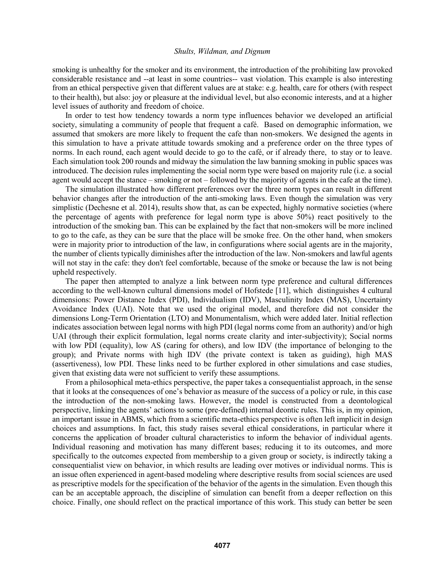smoking is unhealthy for the smoker and its environment, the introduction of the prohibiting law provoked considerable resistance and --at least in some countries-- vast violation. This example is also interesting from an ethical perspective given that different values are at stake: e.g. health, care for others (with respect to their health), but also: joy or pleasure at the individual level, but also economic interests, and at a higher level issues of authority and freedom of choice.

In order to test how tendency towards a norm type influences behavior we developed an artificial society, simulating a community of people that frequent a café. Based on demographic information, we assumed that smokers are more likely to frequent the cafe than non-smokers. We designed the agents in this simulation to have a private attitude towards smoking and a preference order on the three types of norms. In each round, each agent would decide to go to the café, or if already there, to stay or to leave. Each simulation took 200 rounds and midway the simulation the law banning smoking in public spaces was introduced. The decision rules implementing the social norm type were based on majority rule (i.e. a social agent would accept the stance – smoking or not – followed by the majority of agents in the cafe at the time).

The simulation illustrated how different preferences over the three norm types can result in different behavior changes after the introduction of the anti-smoking laws. Even though the simulation was very simplistic (Dechesne et al. 2014), results show that, as can be expected, highly normative societies (where the percentage of agents with preference for legal norm type is above 50%) react positively to the introduction of the smoking ban. This can be explained by the fact that non-smokers will be more inclined to go to the cafe, as they can be sure that the place will be smoke free. On the other hand, when smokers were in majority prior to introduction of the law, in configurations where social agents are in the majority, the number of clients typically diminishes after the introduction of the law. Non-smokers and lawful agents will not stay in the cafe: they don't feel comfortable, because of the smoke or because the law is not being upheld respectively.

The paper then attempted to analyze a link between norm type preference and cultural differences according to the well-known cultural dimensions model of Hofstede [11], which distinguishes 4 cultural dimensions: Power Distance Index (PDI), Individualism (IDV), Masculinity Index (MAS), Uncertainty Avoidance Index (UAI). Note that we used the original model, and therefore did not consider the dimensions Long-Term Orientation (LTO) and Monumentalism, which were added later. Initial reflection indicates association between legal norms with high PDI (legal norms come from an authority) and/or high UAI (through their explicit formulation, legal norms create clarity and inter-subjectivity); Social norms with low PDI (equality), low AS (caring for others), and low IDV (the importance of belonging to the group); and Private norms with high IDV (the private context is taken as guiding), high MAS (assertiveness), low PDI. These links need to be further explored in other simulations and case studies, given that existing data were not sufficient to verify these assumptions.

From a philosophical meta-ethics perspective, the paper takes a consequentialist approach, in the sense that it looks at the consequences of one's behavior as measure of the success of a policy or rule, in this case the introduction of the non-smoking laws. However, the model is constructed from a deontological perspective, linking the agents' actions to some (pre-defined) internal deontic rules. This is, in my opinion, an important issue in ABMS, which from a scientific meta-ethics perspective is often left implicit in design choices and assumptions. In fact, this study raises several ethical considerations, in particular where it concerns the application of broader cultural characteristics to inform the behavior of individual agents. Individual reasoning and motivation has many different bases; reducing it to its outcomes, and more specifically to the outcomes expected from membership to a given group or society, is indirectly taking a consequentialist view on behavior, in which results are leading over motives or individual norms. This is an issue often experienced in agent-based modeling where descriptive results from social sciences are used as prescriptive models for the specification of the behavior of the agents in the simulation. Even though this can be an acceptable approach, the discipline of simulation can benefit from a deeper reflection on this choice. Finally, one should reflect on the practical importance of this work. This study can better be seen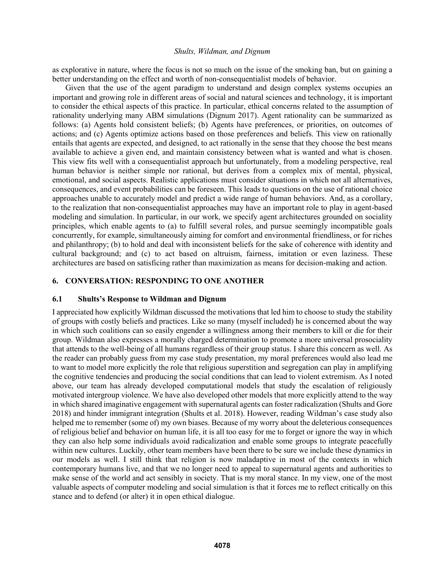as explorative in nature, where the focus is not so much on the issue of the smoking ban, but on gaining a better understanding on the effect and worth of non-consequentialist models of behavior.

Given that the use of the agent paradigm to understand and design complex systems occupies an important and growing role in different areas of social and natural sciences and technology, it is important to consider the ethical aspects of this practice. In particular, ethical concerns related to the assumption of rationality underlying many ABM simulations (Dignum 2017). Agent rationality can be summarized as follows: (a) Agents hold consistent beliefs; (b) Agents have preferences, or priorities, on outcomes of actions; and (c) Agents optimize actions based on those preferences and beliefs. This view on rationally entails that agents are expected, and designed, to act rationally in the sense that they choose the best means available to achieve a given end, and maintain consistency between what is wanted and what is chosen. This view fits well with a consequentialist approach but unfortunately, from a modeling perspective, real human behavior is neither simple nor rational, but derives from a complex mix of mental, physical, emotional, and social aspects. Realistic applications must consider situations in which not all alternatives, consequences, and event probabilities can be foreseen. This leads to questions on the use of rational choice approaches unable to accurately model and predict a wide range of human behaviors. And, as a corollary, to the realization that non-consequentialist approaches may have an important role to play in agent-based modeling and simulation. In particular, in our work, we specify agent architectures grounded on sociality principles, which enable agents to (a) to fulfill several roles, and pursue seemingly incompatible goals concurrently, for example, simultaneously aiming for comfort and environmental friendliness, or for riches and philanthropy; (b) to hold and deal with inconsistent beliefs for the sake of coherence with identity and cultural background; and (c) to act based on altruism, fairness, imitation or even laziness. These architectures are based on satisficing rather than maximization as means for decision-making and action.

### **6. CONVERSATION: RESPONDING TO ONE ANOTHER**

#### **6.1 Shults's Response to Wildman and Dignum**

I appreciated how explicitly Wildman discussed the motivations that led him to choose to study the stability of groups with costly beliefs and practices. Like so many (myself included) he is concerned about the way in which such coalitions can so easily engender a willingness among their members to kill or die for their group. Wildman also expresses a morally charged determination to promote a more universal prosociality that attends to the well-being of all humans regardless of their group status. I share this concern as well. As the reader can probably guess from my case study presentation, my moral preferences would also lead me to want to model more explicitly the role that religious superstition and segregation can play in amplifying the cognitive tendencies and producing the social conditions that can lead to violent extremism. As I noted above, our team has already developed computational models that study the escalation of religiously motivated intergroup violence. We have also developed other models that more explicitly attend to the way in which shared imaginative engagement with supernatural agents can foster radicalization (Shults and Gore 2018) and hinder immigrant integration (Shults et al. 2018). However, reading Wildman's case study also helped me to remember (some of) my own biases. Because of my worry about the deleterious consequences of religious belief and behavior on human life, it is all too easy for me to forget or ignore the way in which they can also help some individuals avoid radicalization and enable some groups to integrate peacefully within new cultures. Luckily, other team members have been there to be sure we include these dynamics in our models as well. I still think that religion is now maladaptive in most of the contexts in which contemporary humans live, and that we no longer need to appeal to supernatural agents and authorities to make sense of the world and act sensibly in society. That is my moral stance. In my view, one of the most valuable aspects of computer modeling and social simulation is that it forces me to reflect critically on this stance and to defend (or alter) it in open ethical dialogue.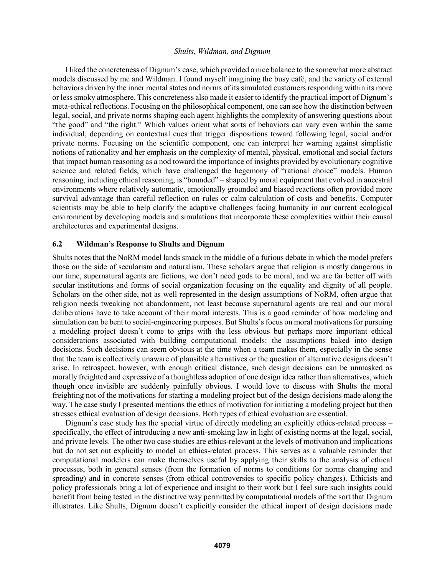I liked the concreteness of Dignum's case, which provided a nice balance to the somewhat more abstract models discussed by me and Wildman. I found myself imagining the busy café, and the variety of external behaviors driven by the inner mental states and norms of its simulated customers responding within its more or less smoky atmosphere. This concreteness also made it easier to identify the practical import of Dignum's meta-ethical reflections. Focusing on the philosophical component, one can see how the distinction between legal, social, and private norms shaping each agent highlights the complexity of answering questions about "the good" and "the right." Which values orient what sorts of behaviors can vary even within the same individual, depending on contextual cues that trigger dispositions toward following legal, social and/or private norms. Focusing on the scientific component, one can interpret her warning against simplistic notions of rationality and her emphasis on the complexity of mental, physical, emotional and social factors that impact human reasoning as a nod toward the importance of insights provided by evolutionary cognitive science and related fields, which have challenged the hegemony of "rational choice" models. Human reasoning, including ethical reasoning, is "bounded" – shaped by moral equipment that evolved in ancestral environments where relatively automatic, emotionally grounded and biased reactions often provided more survival advantage than careful reflection on rules or calm calculation of costs and benefits. Computer scientists may be able to help clarify the adaptive challenges facing humanity in our current ecological environment by developing models and simulations that incorporate these complexities within their causal architectures and experimental designs.

### **6.2 Wildman's Response to Shults and Dignum**

Shults notes that the NoRM model lands smack in the middle of a furious debate in which the model prefers those on the side of secularism and naturalism. These scholars argue that religion is mostly dangerous in our time, supernatural agents are fictions, we don't need gods to be moral, and we are far better off with secular institutions and forms of social organization focusing on the equality and dignity of all people. Scholars on the other side, not as well represented in the design assumptions of NoRM, often argue that religion needs tweaking not abandonment, not least because supernatural agents are real and our moral deliberations have to take account of their moral interests. This is a good reminder of how modeling and simulation can be bent to social-engineering purposes. But Shults's focus on moral motivations for pursuing a modeling project doesn't come to grips with the less obvious but perhaps more important ethical considerations associated with building computational models: the assumptions baked into design decisions. Such decisions can seem obvious at the time when a team makes them, especially in the sense that the team is collectively unaware of plausible alternatives or the question of alternative designs doesn't arise. In retrospect, however, with enough critical distance, such design decisions can be unmasked as morally freighted and expressive of a thoughtless adoption of one design idea rather than alternatives, which though once invisible are suddenly painfully obvious. I would love to discuss with Shults the moral freighting not of the motivations for starting a modeling project but of the design decisions made along the way. The case study I presented mentions the ethics of motivation for initiating a modeling project but then stresses ethical evaluation of design decisions. Both types of ethical evaluation are essential.

Dignum's case study has the special virtue of directly modeling an explicitly ethics-related process – specifically, the effect of introducing a new anti-smoking law in light of existing norms at the legal, social, and private levels. The other two case studies are ethics-relevant at the levels of motivation and implications but do not set out explicitly to model an ethics-related process. This serves as a valuable reminder that computational modelers can make themselves useful by applying their skills to the analysis of ethical processes, both in general senses (from the formation of norms to conditions for norms changing and spreading) and in concrete senses (from ethical controversies to specific policy changes). Ethicists and policy professionals bring a lot of experience and insight to their work but I feel sure such insights could benefit from being tested in the distinctive way permitted by computational models of the sort that Dignum illustrates. Like Shults, Dignum doesn't explicitly consider the ethical import of design decisions made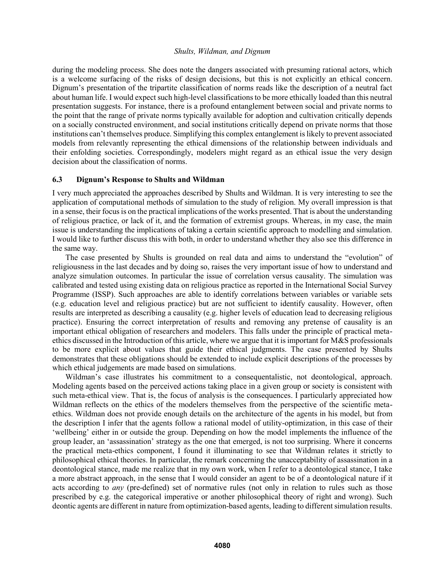during the modeling process. She does note the dangers associated with presuming rational actors, which is a welcome surfacing of the risks of design decisions, but this is not explicitly an ethical concern. Dignum's presentation of the tripartite classification of norms reads like the description of a neutral fact about human life. I would expect such high-level classifications to be more ethically loaded than this neutral presentation suggests. For instance, there is a profound entanglement between social and private norms to the point that the range of private norms typically available for adoption and cultivation critically depends on a socially constructed environment, and social institutions critically depend on private norms that those institutions can't themselves produce. Simplifying this complex entanglement is likely to prevent associated models from relevantly representing the ethical dimensions of the relationship between individuals and their enfolding societies. Correspondingly, modelers might regard as an ethical issue the very design decision about the classification of norms.

### **6.3 Dignum's Response to Shults and Wildman**

I very much appreciated the approaches described by Shults and Wildman. It is very interesting to see the application of computational methods of simulation to the study of religion. My overall impression is that in a sense, their focus is on the practical implications of the works presented. That is about the understanding of religious practice, or lack of it, and the formation of extremist groups. Whereas, in my case, the main issue is understanding the implications of taking a certain scientific approach to modelling and simulation. I would like to further discuss this with both, in order to understand whether they also see this difference in the same way.

The case presented by Shults is grounded on real data and aims to understand the "evolution" of religiousness in the last decades and by doing so, raises the very important issue of how to understand and analyze simulation outcomes. In particular the issue of correlation versus causality. The simulation was calibrated and tested using existing data on religious practice as reported in the International Social Survey Programme (ISSP). Such approaches are able to identify correlations between variables or variable sets (e.g. education level and religious practice) but are not sufficient to identify causality. However, often results are interpreted as describing a causality (e.g. higher levels of education lead to decreasing religious practice). Ensuring the correct interpretation of results and removing any pretense of causality is an important ethical obligation of researchers and modelers. This falls under the principle of practical metaethics discussed in the Introduction of this article, where we argue that it is important for M&S professionals to be more explicit about values that guide their ethical judgments. The case presented by Shults demonstrates that these obligations should be extended to include explicit descriptions of the processes by which ethical judgements are made based on simulations.

Wildman's case illustrates his commitment to a consequentalistic, not deontological, approach. Modeling agents based on the perceived actions taking place in a given group or society is consistent with such meta-ethical view. That is, the focus of analysis is the consequences. I particularly appreciated how Wildman reflects on the ethics of the modelers themselves from the perspective of the scientific metaethics. Wildman does not provide enough details on the architecture of the agents in his model, but from the description I infer that the agents follow a rational model of utility-optimization, in this case of their 'wellbeing' either in or outside the group. Depending on how the model implements the influence of the group leader, an 'assassination' strategy as the one that emerged, is not too surprising. Where it concerns the practical meta-ethics component, I found it illuminating to see that Wildman relates it strictly to philosophical ethical theories. In particular, the remark concerning the unacceptability of assassination in a deontological stance, made me realize that in my own work, when I refer to a deontological stance, I take a more abstract approach, in the sense that I would consider an agent to be of a deontological nature if it acts according to *any* (pre-defined) set of normative rules (not only in relation to rules such as those prescribed by e.g. the categorical imperative or another philosophical theory of right and wrong). Such deontic agents are different in nature from optimization-based agents, leading to different simulation results.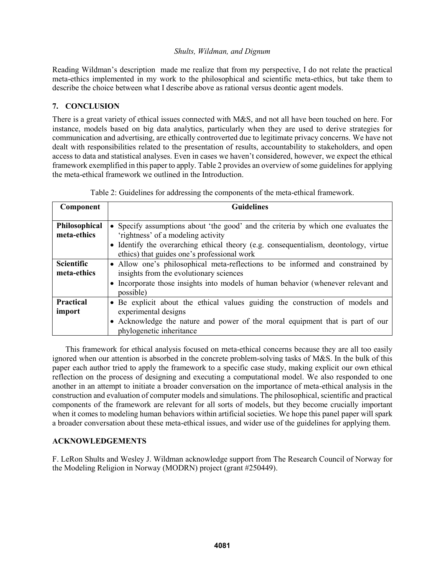Reading Wildman's description made me realize that from my perspective, I do not relate the practical meta-ethics implemented in my work to the philosophical and scientific meta-ethics, but take them to describe the choice between what I describe above as rational versus deontic agent models.

## **7. CONCLUSION**

There is a great variety of ethical issues connected with M&S, and not all have been touched on here. For instance, models based on big data analytics, particularly when they are used to derive strategies for communication and advertising, are ethically controverted due to legitimate privacy concerns. We have not dealt with responsibilities related to the presentation of results, accountability to stakeholders, and open access to data and statistical analyses. Even in cases we haven't considered, however, we expect the ethical framework exemplified in this paper to apply. Table 2 provides an overview of some guidelines for applying the meta-ethical framework we outlined in the Introduction.

| Component                        | <b>Guidelines</b>                                                                                                                                                                                                                                               |  |  |
|----------------------------------|-----------------------------------------------------------------------------------------------------------------------------------------------------------------------------------------------------------------------------------------------------------------|--|--|
| Philosophical<br>meta-ethics     | • Specify assumptions about 'the good' and the criteria by which one evaluates the<br>'rightness' of a modeling activity<br>• Identify the overarching ethical theory (e.g. consequentialism, deontology, virtue<br>ethics) that guides one's professional work |  |  |
| <b>Scientific</b><br>meta-ethics | • Allow one's philosophical meta-reflections to be informed and constrained by<br>insights from the evolutionary sciences<br>• Incorporate those insights into models of human behavior (whenever relevant and<br>possible)                                     |  |  |
| <b>Practical</b><br>import       | • Be explicit about the ethical values guiding the construction of models and<br>experimental designs<br>• Acknowledge the nature and power of the moral equipment that is part of our<br>phylogenetic inheritance                                              |  |  |

Table 2: Guidelines for addressing the components of the meta-ethical framework.

This framework for ethical analysis focused on meta-ethical concerns because they are all too easily ignored when our attention is absorbed in the concrete problem-solving tasks of M&S. In the bulk of this paper each author tried to apply the framework to a specific case study, making explicit our own ethical reflection on the process of designing and executing a computational model. We also responded to one another in an attempt to initiate a broader conversation on the importance of meta-ethical analysis in the construction and evaluation of computer models and simulations. The philosophical, scientific and practical components of the framework are relevant for all sorts of models, but they become crucially important when it comes to modeling human behaviors within artificial societies. We hope this panel paper will spark a broader conversation about these meta-ethical issues, and wider use of the guidelines for applying them.

## **ACKNOWLEDGEMENTS**

F. LeRon Shults and Wesley J. Wildman acknowledge support from The Research Council of Norway for the Modeling Religion in Norway (MODRN) project (grant #250449).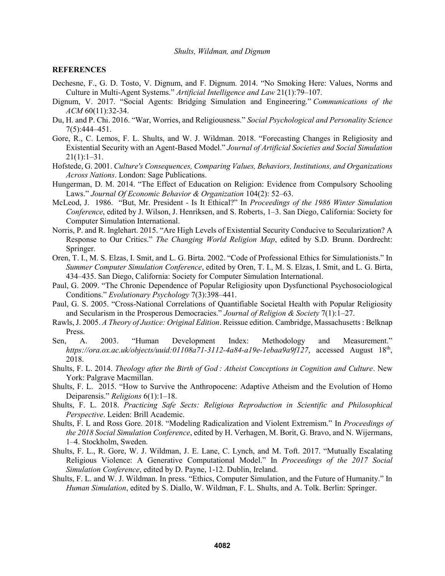### **REFERENCES**

- Dechesne, F., G. D. Tosto, V. Dignum, and F. Dignum. 2014. "No Smoking Here: Values, Norms and Culture in Multi-Agent Systems." *Artificial Intelligence and Law* 21(1):79–107.
- Dignum, V. 2017. "Social Agents: Bridging Simulation and Engineering." *Communications of the ACM* 60(11):32-34.
- Du, H. and P. Chi. 2016. "War, Worries, and Religiousness." *Social Psychological and Personality Science* 7(5):444–451.
- Gore, R., C. Lemos, F. L. Shults, and W. J. Wildman. 2018. "Forecasting Changes in Religiosity and Existential Security with an Agent-Based Model." *Journal of Artificial Societies and Social Simulation*  $21(1):1-31.$
- Hofstede, G. 2001. *Culture's Consequences, Comparing Values, Behaviors, Institutions, and Organizations Across Nations*. London: Sage Publications.
- Hungerman, D. M. 2014. "The Effect of Education on Religion: Evidence from Compulsory Schooling Laws." *Journal Of Economic Behavior & Organization* 104(2): 52–63.
- McLeod, J. 1986. "But, Mr. President Is It Ethical?" In *Proceedings of the 1986 Winter Simulation Conference*, edited by J. Wilson, J. Henriksen, and S. Roberts, 1–3. San Diego, California: Society for Computer Simulation International.
- Norris, P. and R. Inglehart. 2015. "Are High Levels of Existential Security Conducive to Secularization? A Response to Our Critics." *The Changing World Religion Map*, edited by S.D. Brunn. Dordrecht: Springer.
- Oren, T. I., M. S. Elzas, I. Smit, and L. G. Birta. 2002. "Code of Professional Ethics for Simulationists." In *Summer Computer Simulation Conference*, edited by Oren, T. I., M. S. Elzas, I. Smit, and L. G. Birta, 434–435. San Diego, California: Society for Computer Simulation International.
- Paul, G. 2009. "The Chronic Dependence of Popular Religiosity upon Dysfunctional Psychosociological Conditions." *Evolutionary Psychology* 7(3):398–441.
- Paul, G. S. 2005. "Cross-National Correlations of Quantifiable Societal Health with Popular Religiosity and Secularism in the Prosperous Democracies." *Journal of Religion & Society* 7(1):1–27.
- Rawls, J. 2005. *A Theory of Justice: Original Edition*. Reissue edition. Cambridge, Massachusetts : Belknap Press.
- Sen, A. 2003. "Human Development Index: Methodology and Measurement." https://ora.ox.ac.uk/objects/uuid:01108a71-3112-4a84-a19e-1ebaa9a9f127, accessed August 18<sup>th</sup>, 2018.
- Shults, F. L. 2014. *Theology after the Birth of God : Atheist Conceptions in Cognition and Culture*. New York: Palgrave Macmillan.
- Shults, F. L. 2015. "How to Survive the Anthropocene: Adaptive Atheism and the Evolution of Homo Deiparensis." *Religions* 6(1):1–18.
- Shults, F. L. 2018. *Practicing Safe Sects: Religious Reproduction in Scientific and Philosophical Perspective*. Leiden: Brill Academic.
- Shults, F. L and Ross Gore. 2018. "Modeling Radicalization and Violent Extremism." In *Proceedings of the 2018 Social Simulation Conference*, edited by H. Verhagen, M. Borit, G. Bravo, and N. Wijermans, 1–4. Stockholm, Sweden.
- Shults, F. L., R. Gore, W. J. Wildman, J. E. Lane, C. Lynch, and M. Toft. 2017. "Mutually Escalating Religious Violence: A Generative Computational Model." In *Proceedings of the 2017 Social Simulation Conference*, edited by D. Payne, 1-12. Dublin, Ireland.
- Shults, F. L. and W. J. Wildman. In press. "Ethics, Computer Simulation, and the Future of Humanity." In *Human Simulation*, edited by S. Diallo, W. Wildman, F. L. Shults, and A. Tolk. Berlin: Springer.